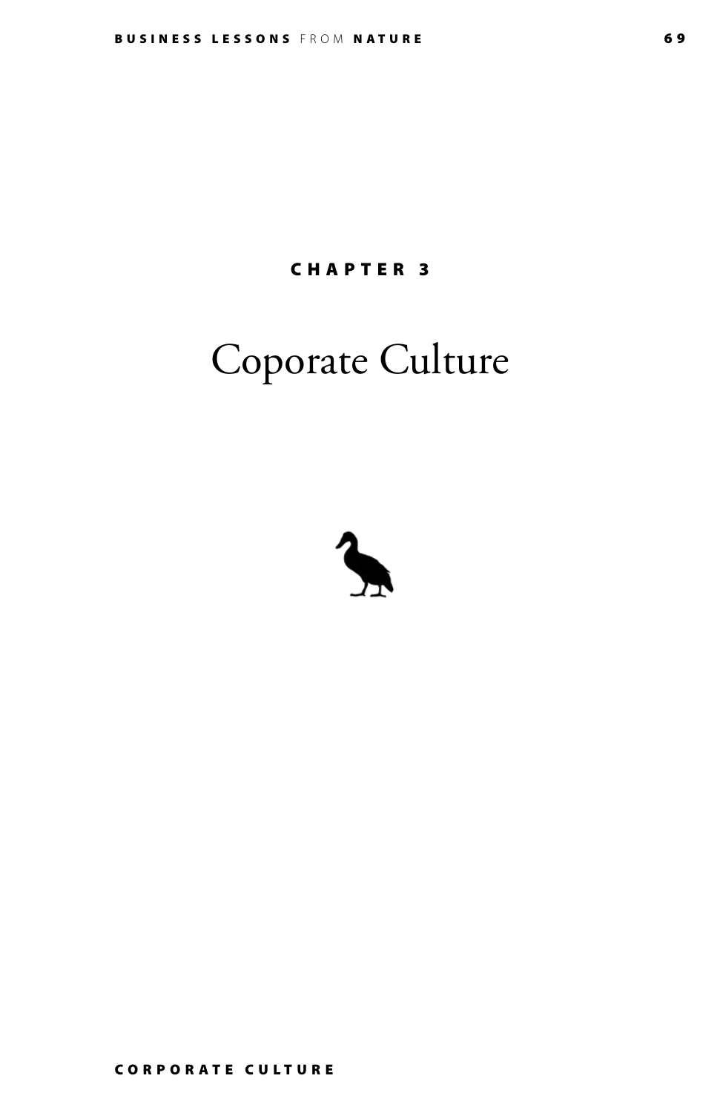C H A P T E R 3

## Coporate Culture

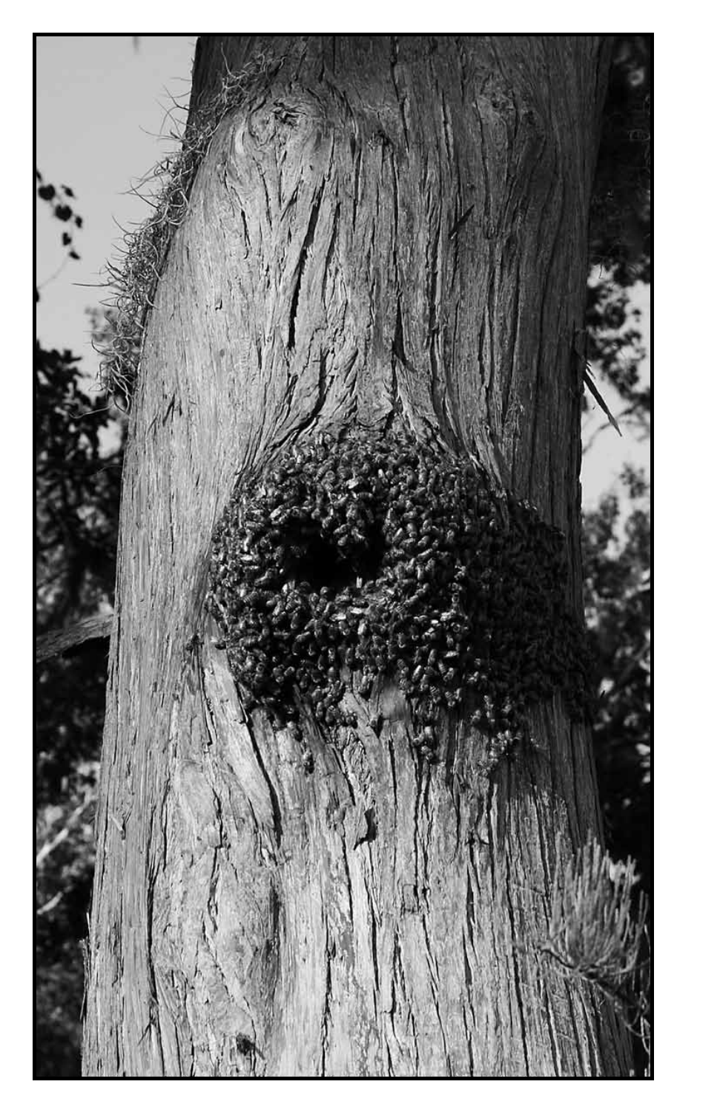